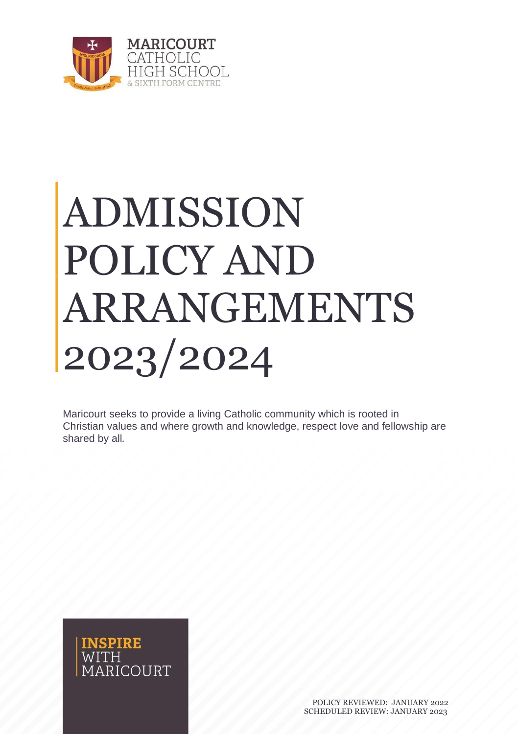

## ADMISSION POLICY AND ARRANGEMENTS 2023/2024

Maricourt seeks to provide a living Catholic community which is rooted in Christian values and where growth and knowledge, respect love and fellowship are shared by all*.*

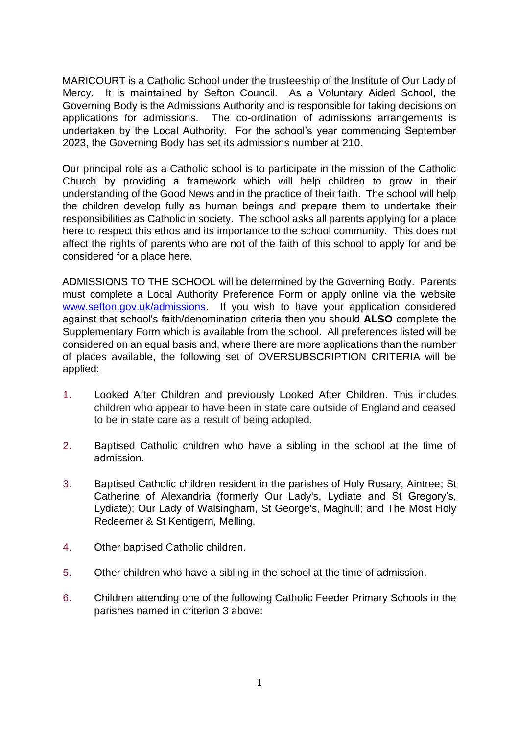MARICOURT is a Catholic School under the trusteeship of the Institute of Our Lady of Mercy. It is maintained by Sefton Council. As a Voluntary Aided School, the Governing Body is the Admissions Authority and is responsible for taking decisions on applications for admissions. The co-ordination of admissions arrangements is undertaken by the Local Authority. For the school's year commencing September 2023, the Governing Body has set its admissions number at 210.

Our principal role as a Catholic school is to participate in the mission of the Catholic Church by providing a framework which will help children to grow in their understanding of the Good News and in the practice of their faith. The school will help the children develop fully as human beings and prepare them to undertake their responsibilities as Catholic in society. The school asks all parents applying for a place here to respect this ethos and its importance to the school community. This does not affect the rights of parents who are not of the faith of this school to apply for and be considered for a place here.

ADMISSIONS TO THE SCHOOL will be determined by the Governing Body. Parents must complete a Local Authority Preference Form or apply online via the website [www.sefton.gov.uk/admissions.](http://www.sefton.gov.uk/admissions) If you wish to have your application considered against that school's faith/denomination criteria then you should **ALSO** complete the Supplementary Form which is available from the school. All preferences listed will be considered on an equal basis and, where there are more applications than the number of places available, the following set of OVERSUBSCRIPTION CRITERIA will be applied:

- 1. Looked After Children and previously Looked After Children. This includes children who appear to have been in state care outside of England and ceased to be in state care as a result of being adopted.
- 2. Baptised Catholic children who have a sibling in the school at the time of admission.
- 3. Baptised Catholic children resident in the parishes of Holy Rosary, Aintree; St Catherine of Alexandria (formerly Our Lady's, Lydiate and St Gregory's, Lydiate); Our Lady of Walsingham, St George's, Maghull; and The Most Holy Redeemer & St Kentigern, Melling.
- 4. Other baptised Catholic children.
- 5. Other children who have a sibling in the school at the time of admission.
- 6. Children attending one of the following Catholic Feeder Primary Schools in the parishes named in criterion 3 above: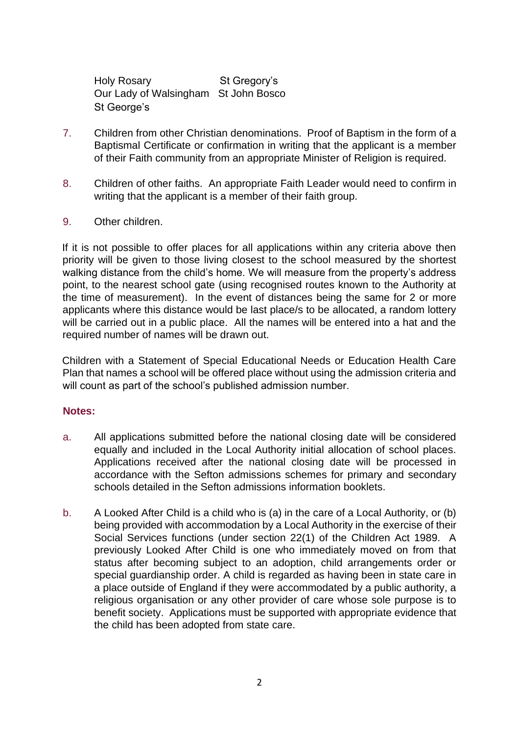Holy Rosary St Gregory's Our Lady of Walsingham St John Bosco St George's

- 7. Children from other Christian denominations. Proof of Baptism in the form of a Baptismal Certificate or confirmation in writing that the applicant is a member of their Faith community from an appropriate Minister of Religion is required.
- 8. Children of other faiths. An appropriate Faith Leader would need to confirm in writing that the applicant is a member of their faith group.
- 9. Other children.

If it is not possible to offer places for all applications within any criteria above then priority will be given to those living closest to the school measured by the shortest walking distance from the child's home. We will measure from the property's address point, to the nearest school gate (using recognised routes known to the Authority at the time of measurement). In the event of distances being the same for 2 or more applicants where this distance would be last place/s to be allocated, a random lottery will be carried out in a public place. All the names will be entered into a hat and the required number of names will be drawn out.

Children with a Statement of Special Educational Needs or Education Health Care Plan that names a school will be offered place without using the admission criteria and will count as part of the school's published admission number.

## **Notes:**

- a. All applications submitted before the national closing date will be considered equally and included in the Local Authority initial allocation of school places. Applications received after the national closing date will be processed in accordance with the Sefton admissions schemes for primary and secondary schools detailed in the Sefton admissions information booklets.
- b. A Looked After Child is a child who is (a) in the care of a Local Authority, or (b) being provided with accommodation by a Local Authority in the exercise of their Social Services functions (under section 22(1) of the Children Act 1989. A previously Looked After Child is one who immediately moved on from that status after becoming subject to an adoption, child arrangements order or special guardianship order. A child is regarded as having been in state care in a place outside of England if they were accommodated by a public authority, a religious organisation or any other provider of care whose sole purpose is to benefit society. Applications must be supported with appropriate evidence that the child has been adopted from state care.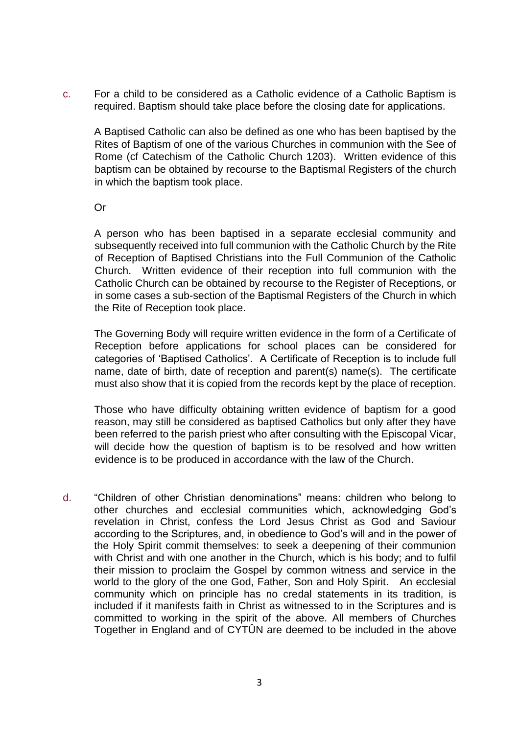c. For a child to be considered as a Catholic evidence of a Catholic Baptism is required. Baptism should take place before the closing date for applications.

A Baptised Catholic can also be defined as one who has been baptised by the Rites of Baptism of one of the various Churches in communion with the See of Rome (cf Catechism of the Catholic Church 1203). Written evidence of this baptism can be obtained by recourse to the Baptismal Registers of the church in which the baptism took place.

Or

A person who has been baptised in a separate ecclesial community and subsequently received into full communion with the Catholic Church by the Rite of Reception of Baptised Christians into the Full Communion of the Catholic Church. Written evidence of their reception into full communion with the Catholic Church can be obtained by recourse to the Register of Receptions, or in some cases a sub-section of the Baptismal Registers of the Church in which the Rite of Reception took place.

The Governing Body will require written evidence in the form of a Certificate of Reception before applications for school places can be considered for categories of 'Baptised Catholics'. A Certificate of Reception is to include full name, date of birth, date of reception and parent(s) name(s). The certificate must also show that it is copied from the records kept by the place of reception.

Those who have difficulty obtaining written evidence of baptism for a good reason, may still be considered as baptised Catholics but only after they have been referred to the parish priest who after consulting with the Episcopal Vicar, will decide how the question of baptism is to be resolved and how written evidence is to be produced in accordance with the law of the Church.

d. "Children of other Christian denominations" means: children who belong to other churches and ecclesial communities which, acknowledging God's revelation in Christ, confess the Lord Jesus Christ as God and Saviour according to the Scriptures, and, in obedience to God's will and in the power of the Holy Spirit commit themselves: to seek a deepening of their communion with Christ and with one another in the Church, which is his body; and to fulfil their mission to proclaim the Gospel by common witness and service in the world to the glory of the one God, Father, Son and Holy Spirit. An ecclesial community which on principle has no credal statements in its tradition, is included if it manifests faith in Christ as witnessed to in the Scriptures and is committed to working in the spirit of the above. All members of Churches Together in England and of CYTÛN are deemed to be included in the above